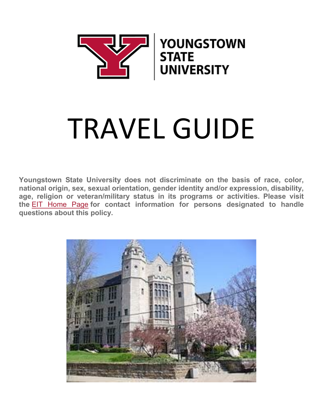

# TRAVEL GUIDE

**Youngstown State University does not discriminate on the basis of race, color, national origin, sex, sexual orientation, gender identity and/or expression, disability, age, religion or veteran/military status in its programs or activities. Please visit the** [EIT Home Page](https://ysu.edu/accessibility/electronic-information-technology-eit-accessibility-compliance) **for contact information for persons designated to handle questions about this policy.**

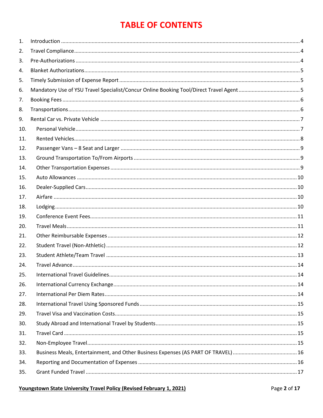## **TABLE OF CONTENTS**

| 1.  |  |
|-----|--|
| 2.  |  |
| 3.  |  |
| 4.  |  |
| 5.  |  |
| 6.  |  |
| 7.  |  |
| 8.  |  |
| 9.  |  |
| 10. |  |
| 11. |  |
| 12. |  |
| 13. |  |
| 14. |  |
| 15. |  |
| 16. |  |
| 17. |  |
| 18. |  |
| 19. |  |
| 20. |  |
| 21. |  |
| 22. |  |
| 23. |  |
| 24. |  |
| 25. |  |
| 26. |  |
| 27. |  |
| 28. |  |
| 29. |  |
| 30. |  |
| 31. |  |
| 32. |  |
| 33. |  |
| 34. |  |
| 35. |  |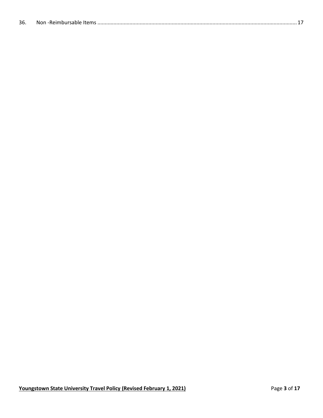| 36. |  |
|-----|--|
|     |  |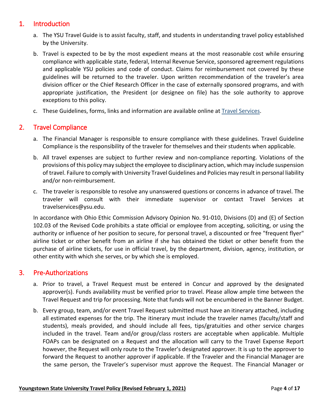## <span id="page-3-0"></span>1. Introduction

- a. The YSU Travel Guide is to assist faculty, staff, and students in understanding travel policy established by the University.
- b. Travel is expected to be by the most expedient means at the most reasonable cost while ensuring compliance with applicable state, federal, Internal Revenue Service, sponsored agreement regulations and applicable YSU policies and code of conduct. Claims for reimbursement not covered by these guidelines will be returned to the traveler. Upon written recommendation of the traveler's area division officer or the Chief Research Officer in the case of externally sponsored programs, and with appropriate justification, the President (or designee on file) has the sole authority to approve exceptions to this policy.
- c. These Guidelines, forms, links and information are available online at [Travel Services.](http://cms.ysu.edu/administrative-offices/procurement-services/travel-services)

## <span id="page-3-1"></span>2. Travel Compliance

- a. The Financial Manager is responsible to ensure compliance with these guidelines. Travel Guideline Compliance is the responsibility of the traveler for themselves and their students when applicable.
- b. All travel expenses are subject to further review and non-compliance reporting. Violations of the provisions of this policy may subject the employee to disciplinary action, which may include suspension of travel. Failure to comply with University Travel Guidelines and Policies may result in personal liability and/or non-reimbursement.
- c. The traveler is responsible to resolve any unanswered questions or concerns in advance of travel. The traveler will consult with their immediate supervisor or contact Travel Services at [travelservices@ysu.edu.](mailto:travelservices@ysu.edu)

In accordance with Ohio Ethic Commission Advisory Opinion No. 91-010, Divisions (D) and (E) of Section 102.03 of the Revised Code prohibits a state official or employee from accepting, soliciting, or using the authority or influence of her position to secure, for personal travel, a discounted or free "frequent flyer" airline ticket or other benefit from an airline if she has obtained the ticket or other benefit from the purchase of airline tickets, for use in official travel, by the department, division, agency, institution, or other entity with which she serves, or by which she is employed.

#### <span id="page-3-2"></span>3. Pre-Authorizations

- a. Prior to travel, a Travel Request must be entered in Concur and approved by the designated approver(s). Funds availability must be verified prior to travel. Please allow ample time between the Travel Request and trip for processing. Note that funds will not be encumbered in the Banner Budget.
- b. Every group, team, and/or event Travel Request submitted must have an itinerary attached, including all estimated expenses for the trip. The itinerary must include the traveler names (faculty/staff and students), meals provided, and should include all fees, tips/gratuities and other service charges included in the travel. Team and/or group/class rosters are acceptable when applicable. Multiple FOAPs can be designated on a Request and the allocation will carry to the Travel Expense Report however, the Request will only route to the Traveler's designated approver. It is up to the approver to forward the Request to another approver if applicable. If the Traveler and the Financial Manager are the same person, the Traveler's supervisor must approve the Request. The Financial Manager or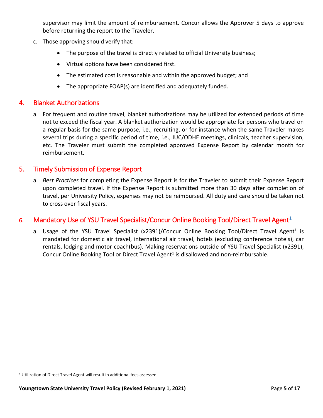supervisor may limit the amount of reimbursement. Concur allows the Approver 5 days to approve before returning the report to the Traveler.

- c. Those approving should verify that:
	- The purpose of the travel is directly related to official University business;
	- Virtual options have been considered first.
	- The estimated cost is reasonable and within the approved budget; and
	- The appropriate FOAP(s) are identified and adequately funded.

#### <span id="page-4-0"></span>4. Blanket Authorizations

a. For frequent and routine travel, blanket authorizations may be utilized for extended periods of time not to exceed the fiscal year. A blanket authorization would be appropriate for persons who travel on a regular basis for the same purpose, i.e., recruiting, or for instance when the same Traveler makes several trips during a specific period of time, i.e., IUC/ODHE meetings, clinicals, teacher supervision, etc. The Traveler must submit the completed approved Expense Report by calendar month for reimbursement.

## <span id="page-4-1"></span>5. Timely Submission of Expense Report

a. *Best Practices* for completing the Expense Report is for the Traveler to submit their Expense Report upon completed travel. If the Expense Report is submitted more than 30 days after completion of travel, per University Policy, expenses may not be reimbursed. All duty and care should be taken not to cross over fiscal years.

## <span id="page-4-2"></span>6. Mandatory Use of YSU Travel Specialist/Concur Online Booking Tool/Direct Travel Agent<sup>1</sup>

<span id="page-4-4"></span>a. Usage of the YSU Travel Specialist (x2391)/Concur Online Booking Tool/Direct Travel Agent<sup>1</sup> is mandated for domestic air travel, international air travel, hotels (excluding conference hotels), car rentals, lodging and motor coach(bus). Making reservations outside of YSU Travel Specialist (x2391), Concur Online Booking Tool or Direct Travel Agent<sup>1</sup> is disallowed and non-reimbursable.

<span id="page-4-3"></span> <sup>1</sup> Utilization of Direct Travel Agent will result in additional fees assessed.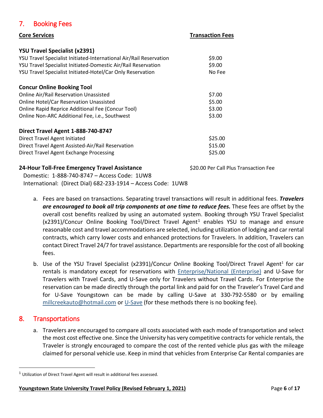## <span id="page-5-0"></span>7. Booking Fees

| <b>Core Services</b>                                               | <b>Transaction Fees</b>               |
|--------------------------------------------------------------------|---------------------------------------|
| <b>YSU Travel Specialist (x2391)</b>                               |                                       |
| YSU Travel Specialist Initiated-International Air/Rail Reservation | \$9.00                                |
| YSU Travel Specialist Initiated-Domestic Air/Rail Reservation      | \$9.00                                |
| YSU Travel Specialist Initiated-Hotel/Car Only Reservation         | No Fee                                |
| <b>Concur Online Booking Tool</b>                                  |                                       |
| <b>Online Air/Rail Reservation Unassisted</b>                      | \$7.00                                |
| <b>Online Hotel/Car Reservation Unassisted</b>                     | \$5.00                                |
| Online Rapid Reprice Additional Fee (Concur Tool)                  | \$3.00                                |
| Online Non-ARC Additional Fee, i.e., Southwest                     | \$3.00                                |
| Direct Travel Agent 1-888-740-8747                                 |                                       |
| Direct Travel Agent Initiated                                      | \$25.00                               |
| Direct Travel Agent Assisted-Air/Rail Reservation                  | \$15.00                               |
| Direct Travel Agent Exchange Processing                            | \$25.00                               |
| 24-Hour Toll-Free Emergency Travel Assistance                      | \$20.00 Per Call Plus Transaction Fee |
| Domestic: $1-888-740-8747 - \Delta$ cress Code: $111M/8$           |                                       |

 Domestic: 1-888-740-8747 – Access Code: 1UW8 International: (Direct Dial) 682-233-1914 – Access Code: 1UW8

- a. Fees are based on transactions. Separating travel transactions will result in additional fees. *Travelers are encouraged to book all trip components at one time to reduce fees.* These fees are offset by the overall cost benefits realized by using an automated system. Booking through YSU Travel Specialist  $(x2391)/$  $(x2391)/$  $(x2391)/$ Concur Online Booking Tool/Direct Travel Agent<sup>1</sup> enables YSU to manage and ensure reasonable cost and travel accommodations are selected, including utilization of lodging and car rental contracts, which carry lower costs and enhanced protections for Travelers. In addition, Travelers can contact Direct Travel 24/7 for travel assistance. Departments are responsible for the cost of all booking fees.
- b. Use of the YSU Travel Specialist (x2391)/Concur Online Booking Tool/Direct Travel Agent<sup>1</sup> for car rentals is mandatory except for reservations with [Enterprise/National \(Enterprise\)](https://www.enterprise.com/en/car-rental/locations/us/oh/downtown-youngstown-3983.html?mcid=yext:245709) and U-Save for Travelers with Travel Cards, and U-Save only for Travelers without Travel Cards. For Enterprise the reservation can be made directly through the portal link and paid for on the Traveler's Travel Card and for U-Save Youngstown can be made by calling U-Save at 330-792-5580 or by emailing [millcreekauto@hotmail.com](mailto:millcreekauto@hotmail.com) or [U-Save](http://ushttp/usave.dmplocal.com/sites/30/index.html?profile=youngstownoh@rentusave.comave.dmplocal.com/sites/30/index.html?profile=youngstownoh@rentusave.com) (for these methods there is no booking fee).

## <span id="page-5-1"></span>8. Transportations

a. Travelers are encouraged to compare all costs associated with each mode of transportation and select the most cost effective one. Since the University has very competitive contracts for vehicle rentals, the Traveler is strongly encouraged to compare the cost of the rented vehicle plus gas with the mileage claimed for personal vehicle use. Keep in mind that vehicles from Enterprise Car Rental companies are

<span id="page-5-2"></span> <sup>1</sup> Utilization of Direct Travel Agent will result in additional fees assessed.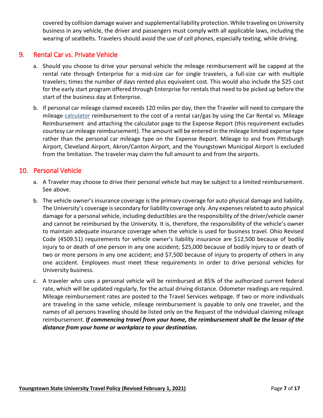covered by collision damage waiver and supplemental liability protection. While traveling on University business in any vehicle, the driver and passengers must comply with all applicable laws, including the wearing of seatbelts. Travelers should avoid the use of cell phones, especially texting, while driving.

## <span id="page-6-0"></span>9. Rental Car vs. Private Vehicle

- a. Should you choose to drive your personal vehicle the mileage reimbursement will be capped at the rental rate through Enterprise for a mid-size car for single travelers, a full-size car with multiple travelers; times the number of days rented plus equivalent cost. This would also include the \$25 cost for the early start program offered through Enterprise for rentals that need to be picked up before the start of the business day at Enterprise.
- b. If personal car mileage claimed exceeds 120 miles per day, then the Traveler will need to compare the mileage [calculator](https://ysu.edu/sites/default/files/users/mlcastner/travel_calc.xlsx) reimbursement to the cost of a rental car/gas by using the Car Rental vs. Mileage Reimbursement and attaching the calculator page to the Expense Report (this requirement excludes courtesy car mileage reimbursement). The amount will be entered in the mileage limited expense type rather than the personal car mileage type on the Expense Report. Mileage to and from Pittsburgh Airport, Cleveland Airport, Akron/Canton Airport, and the Youngstown Municipal Airport is excluded from the limitation. The traveler may claim the full amount to and from the airports.

#### <span id="page-6-1"></span>10. Personal Vehicle

- a. A Traveler may choose to drive their personal vehicle but may be subject to a limited reimbursement. See above.
- b. The vehicle owner's insurance coverage is the primary coverage for auto physical damage and liability. The University's coverage is secondary for liability coverage only. Any expenses related to auto physical damage for a personal vehicle, including deductibles are the responsibility of the driver/vehicle owner and cannot be reimbursed by the University. It is, therefore, the responsibility of the vehicle's owner to maintain adequate insurance coverage when the vehicle is used for business travel. Ohio Revised Code (4509.51) requirements for vehicle owner's liability insurance are \$12,500 because of bodily injury to or death of one person in any one accident; \$25,000 because of bodily injury to or death of two or more persons in any one accident; and \$7,500 because of injury to property of others in any one accident. Employees must meet these requirements in order to drive personal vehicles for University business.
- c. A traveler who uses a personal vehicle will be reimbursed at 85% of the authorized current federal rate, which will be updated regularly, for the actual driving distance. Odometer readings are required. Mileage reimbursement rates are posted to the Travel Services webpage. If two or more individuals are traveling in the same vehicle, mileage reimbursement is payable to only one traveler, and the names of all persons traveling should be listed only on the Request of the individual claiming mileage reimbursement. *If commencing travel from your home, the reimbursement shall be the lessor of the distance from your home or workplace to your destination.*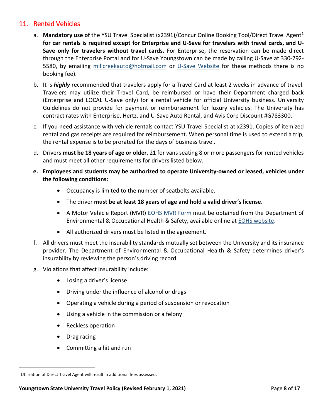## <span id="page-7-0"></span>11. Rented Vehicles

- a. Mandatory use of the YSU Travel Specialist (x239[1](#page-7-1))/Concur Online Booking Tool/Direct Travel Agent<sup>1</sup> **for car rentals is required except for Enterprise and U-Save for travelers with travel cards, and U-Save only for travelers without travel cards.** For Enterprise, the reservation can be made direct through the Enterprise Portal and for U-Save Youngstown can be made by calling U-Save at 330-792 5580, by emailing [millcreekauto@hotmail.com](mailto:millcreekauto@hotmail.com) or [U-Save Website](http://usave.dmplocal.com/sites/30/index.html?profile=youngstownoh@rentusave.com) for these methods there is no booking fee).
- b. It is *highly* recommended that travelers apply for a Travel Card at least 2 weeks in advance of travel. Travelers may utilize their Travel Card, be reimbursed or have their Department charged back (Enterprise and LOCAL U-Save only) for a rental vehicle for official University business. University Guidelines do not provide for payment or reimbursement for luxury vehicles. The University has contract rates with Enterprise, Hertz, and U-Save Auto Rental, and Avis Corp Discount #G783300.
- c. If you need assistance with vehicle rentals contact YSU Travel Specialist at x2391. Copies of itemized rental and gas receipts are required for reimbursement. When personal time is used to extend a trip, the rental expense is to be prorated for the days of business travel.
- d. Drivers **must be 18 years of age or older**, 21 for vans seating 8 or more passengers for rented vehicles and must meet all other requirements for drivers listed below.
- **e. Employees and students may be authorized to operate University-owned or leased, vehicles under the following conditions:**
	- Occupancy is limited to the number of seatbelts available.
	- The driver **must be at least 18 years of age and hold a valid driver's license**.
	- A Motor Vehicle Report (MVR) [EOHS MVR Form](https://ysu.edu/mvr-form) must be obtained from the Department of Environmental & Occupational Health & Safety, available online at [EOHS website.](https://ysu.edu/eohs/motor-vehicle-guidelines)
	- All authorized drivers must be listed in the agreement.
- f. All drivers must meet the insurability standards mutually set between the University and its insurance provider. The Department of Environmental & Occupational Health & Safety determines driver's insurability by reviewing the person's driving record.
- g. Violations that affect insurability include:
	- Losing a driver's license
	- Driving under the influence of alcohol or drugs
	- Operating a vehicle during a period of suspension or revocation
	- Using a vehicle in the commission or a felony
	- Reckless operation
	- Drag racing
	- Committing a hit and run

<span id="page-7-1"></span> $\overline{1}$  $1$ Utilization of Direct Travel Agent will result in additional fees assessed.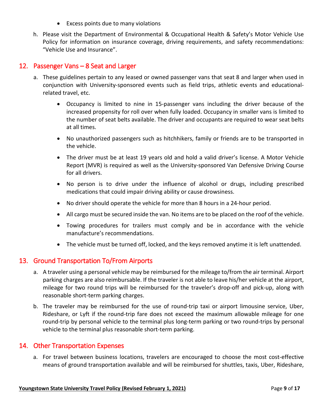- Excess points due to many violations
- h. Please visit the Department of Environmental & Occupational Health & Safety's Motor Vehicle Use Policy for information on insurance coverage, driving requirements, and safety recommendations: "Vehicle Use and Insurance".

## <span id="page-8-0"></span>12. Passenger Vans – 8 Seat and Larger

- a. These guidelines pertain to any leased or owned passenger vans that seat 8 and larger when used in conjunction with University-sponsored events such as field trips, athletic events and educationalrelated travel, etc.
	- Occupancy is limited to nine in 15-passenger vans including the driver because of the increased propensity for roll over when fully loaded. Occupancy in smaller vans is limited to the number of seat belts available. The driver and occupants are required to wear seat belts at all times.
	- No unauthorized passengers such as hitchhikers, family or friends are to be transported in the vehicle.
	- The driver must be at least 19 years old and hold a valid driver's license. A Motor Vehicle Report (MVR) is required as well as the University-sponsored Van Defensive Driving Course for all drivers.
	- No person is to drive under the influence of alcohol or drugs, including prescribed medications that could impair driving ability or cause drowsiness.
	- No driver should operate the vehicle for more than 8 hours in a 24-hour period.
	- All cargo must be secured inside the van. No items are to be placed on the roof of the vehicle.
	- Towing procedures for trailers must comply and be in accordance with the vehicle manufacture's recommendations.
	- The vehicle must be turned off, locked, and the keys removed anytime it is left unattended.

## <span id="page-8-1"></span>13. Ground Transportation To/From Airports

- a. A traveler using a personal vehicle may be reimbursed for the mileage to/from the air terminal. Airport parking charges are also reimbursable. If the traveler is not able to leave his/her vehicle at the airport, mileage for two round trips will be reimbursed for the traveler's drop-off and pick-up, along with reasonable short-term parking charges.
- b. The traveler may be reimbursed for the use of round-trip taxi or airport limousine service, Uber, Rideshare, or Lyft if the round-trip fare does not exceed the maximum allowable mileage for one round-trip by personal vehicle to the terminal plus long-term parking or two round-trips by personal vehicle to the terminal plus reasonable short-term parking.

#### <span id="page-8-2"></span>14. Other Transportation Expenses

a. For travel between business locations, travelers are encouraged to choose the most cost-effective means of ground transportation available and will be reimbursed for shuttles, taxis, Uber, Rideshare,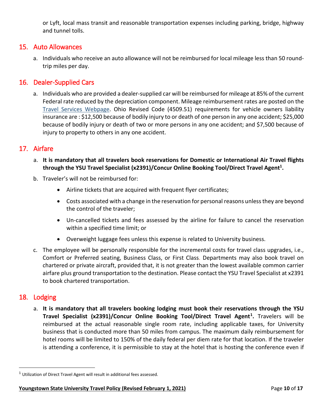or Lyft, local mass transit and reasonable transportation expenses including parking, bridge, highway and tunnel tolls.

## <span id="page-9-0"></span>15. Auto Allowances

a. Individuals who receive an auto allowance will not be reimbursed for local mileage less than 50 roundtrip miles per day.

## <span id="page-9-1"></span>16. Dealer-Supplied Cars

a. Individuals who are provided a dealer-supplied car will be reimbursed for mileage at 85% of the current Federal rate reduced by the depreciation component. Mileage reimbursement rates are posted on the [Travel Services Webpage.](https://ysu.edu/procurement-services/travel-services) Ohio Revised Code (4509.51) requirements for vehicle owners liability insurance are : \$12,500 because of bodily injury to or death of one person in any one accident; \$25,000 because of bodily injury or death of two or more persons in any one accident; and \$7,500 because of injury to property to others in any one accident.

## <span id="page-9-2"></span>17. Airfare

- a. **It is mandatory that all travelers book reservations for Domestic or International Air Travel flights through the YSU Travel Specialist (x2391)/Concur Online Booking Tool/Direct Travel Agent1.**
- b. Traveler's will not be reimbursed for:
	- Airline tickets that are acquired with frequent flyer certificates;
	- Costs associated with a change in the reservation for personal reasons unless they are beyond the control of the traveler;
	- Un-cancelled tickets and fees assessed by the airline for failure to cancel the reservation within a specified time limit; or
	- Overweight luggage fees unless this expense is related to University business.
- c. The employee will be personally responsible for the incremental costs for travel class upgrades, i.e., Comfort or Preferred seating, Business Class, or First Class. Departments may also book travel on chartered or private aircraft, provided that, it is not greater than the lowest available common carrier airfare plus ground transportation to the destination. Please contact the YSU Travel Specialist at x2391 to book chartered transportation.

#### <span id="page-9-3"></span>18. Lodging

a. **It is mandatory that all travelers booking lodging must book their reservations through the YSU Travel Specialist (x2391)/Concur Online Booking Tool/Direct Travel Agent[1.](#page-9-4)** Travelers will be reimbursed at the actual reasonable single room rate, including applicable taxes, for University business that is conducted more than 50 miles from campus. The maximum daily reimbursement for hotel rooms will be limited to 150% of the daily federal per diem rate for that location. If the traveler is attending a conference, it is permissible to stay at the hotel that is hosting the conference even if

<span id="page-9-4"></span> $1$  Utilization of Direct Travel Agent will result in additional fees assessed.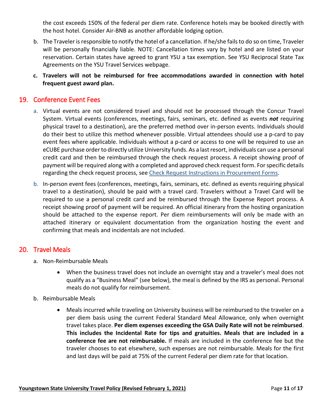the cost exceeds 150% of the federal per diem rate. Conference hotels may be booked directly with the host hotel. Consider Air-BNB as another affordable lodging option.

- b. The Traveler is responsible to notify the hotel of a cancellation. If he/she fails to do so on time, Traveler will be personally financially liable. NOTE: Cancellation times vary by hotel and are listed on your reservation. Certain states have agreed to grant YSU a tax exemption. See YSU Reciprocal State Tax Agreements on the YSU Travel Services webpage.
- **c. Travelers will not be reimbursed for free accommodations awarded in connection with hotel frequent guest award plan.**

#### <span id="page-10-0"></span>19. Conference Event Fees

- a. Virtual events are not considered travel and should not be processed through the Concur Travel System. Virtual events (conferences, meetings, fairs, seminars, etc. defined as events *not* requiring physical travel to a destination), are the preferred method over in-person events. Individuals should do their best to utilize this method whenever possible. Virtual attendees should use a p-card to pay event fees where applicable. Individuals without a p-card or access to one will be required to use an eCUBE purchase order to directly utilize University funds. As a last resort, individuals can use a personal credit card and then be reimbursed through the check request process. A receipt showing proof of payment will be required along with a completed and approved check request form. For specific details regarding the check request process, see [Check Request Instructions in Procurement Forms.](https://ysu.edu/procurement-services/procurement-forms)
- b. In-person event fees (conferences, meetings, fairs, seminars, etc. defined as events requiring physical travel to a destination), should be paid with a travel card. Travelers without a Travel Card will be required to use a personal credit card and be reimbursed through the Expense Report process. A receipt showing proof of payment will be required. An official itinerary from the hosting organization should be attached to the expense report. Per diem reimbursements will only be made with an attached itinerary or equivalent documentation from the organization hosting the event and confirming that meals and incidentals are not included.

#### <span id="page-10-1"></span>20. Travel Meals

- a. Non-Reimbursable Meals
	- When the business travel does not include an overnight stay and a traveler's meal does not qualify as a "Business Meal" (see below), the meal is defined by the IRS as personal. Personal meals do not qualify for reimbursement.

#### b. Reimbursable Meals

• Meals incurred while traveling on University business will be reimbursed to the traveler on a per diem basis using the current Federal Standard Meal Allowance, only when overnight travel takes place. **Per diem expenses exceeding the GSA Daily Rate will not be reimbursed**. **This includes the Incidental Rate for tips and gratuities. Meals that are included in a conference fee are not reimbursable.** If meals are included in the conference fee but the traveler chooses to eat elsewhere, such expenses are not reimbursable. Meals for the first and last days will be paid at 75% of the current Federal per diem rate for that location.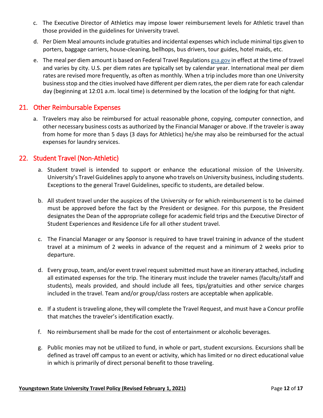- c. The Executive Director of Athletics may impose lower reimbursement levels for Athletic travel than those provided in the guidelines for University travel.
- d. Per Diem Meal amounts include gratuities and incidental expenses which include minimal tips given to porters, baggage carriers, house-cleaning, bellhops, bus drivers, tour guides, hotel maids, etc.
- e. The meal per diem amount is based on Federal Travel Regulations [gsa.gov](https://www.gsa.gov/) in effect at the time of travel and varies by city. U.S. per diem rates are typically set by calendar year. International meal per diem rates are revised more frequently, as often as monthly. When a trip includes more than one University business stop and the cities involved have different per diem rates, the per diem rate for each calendar day (beginning at 12:01 a.m. local time) is determined by the location of the lodging for that night.

## <span id="page-11-0"></span>21. Other Reimbursable Expenses

a. Travelers may also be reimbursed for actual reasonable phone, copying, computer connection, and other necessary business costs as authorized by the Financial Manager or above. If the traveler is away from home for more than 5 days (3 days for Athletics) he/she may also be reimbursed for the actual expenses for laundry services.

## <span id="page-11-1"></span>22. Student Travel (Non-Athletic)

- a. Student travel is intended to support or enhance the educational mission of the University. University's Travel Guidelines apply to anyone who travels on University business, including students. Exceptions to the general Travel Guidelines, specific to students, are detailed below.
- b. All student travel under the auspices of the University or for which reimbursement is to be claimed must be approved before the fact by the President or designee. For this purpose, the President designates the Dean of the appropriate college for academic field trips and the Executive Director of Student Experiences and Residence Life for all other student travel.
- c. The Financial Manager or any Sponsor is required to have travel training in advance of the student travel at a minimum of 2 weeks in advance of the request and a minimum of 2 weeks prior to departure.
- d. Every group, team, and/or event travel request submitted must have an itinerary attached, including all estimated expenses for the trip. The itinerary must include the traveler names (faculty/staff and students), meals provided, and should include all fees, tips/gratuities and other service charges included in the travel. Team and/or group/class rosters are acceptable when applicable.
- e. If a student is traveling alone, they will complete the Travel Request, and must have a Concur profile that matches the traveler's identification exactly.
- f. No reimbursement shall be made for the cost of entertainment or alcoholic beverages.
- g. Public monies may not be utilized to fund, in whole or part, student excursions. Excursions shall be defined as travel off campus to an event or activity, which has limited or no direct educational value in which is primarily of direct personal benefit to those traveling.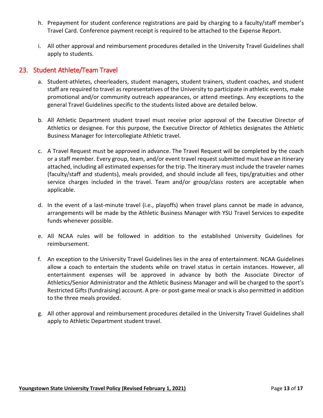- h. Prepayment for student conference registrations are paid by charging to a faculty/staff member's Travel Card. Conference payment receipt is required to be attached to the Expense Report.
- i. All other approval and reimbursement procedures detailed in the University Travel Guidelines shall apply to students.

#### <span id="page-12-0"></span>23. Student Athlete/Team Travel

- a. Student-athletes, cheerleaders, student managers, student trainers, student coaches, and student staff are required to travel as representatives of the University to participate in athletic events, make promotional and/or community outreach appearances, or attend meetings. Any exceptions to the general Travel Guidelines specific to the students listed above are detailed below.
- b. All Athletic Department student travel must receive prior approval of the Executive Director of Athletics or designee. For this purpose, the Executive Director of Athletics designates the Athletic Business Manager for Intercollegiate Athletic travel.
- c. A Travel Request must be approved in advance. The Travel Request will be completed by the coach or a staff member. Every group, team, and/or event travel request submitted must have an itinerary attached, including all estimated expenses for the trip. The itinerary must include the traveler names (faculty/staff and students), meals provided, and should include all fees, tips/gratuities and other service charges included in the travel. Team and/or group/class rosters are acceptable when applicable.
- d. In the event of a last-minute travel (i.e., playoffs) when travel plans cannot be made in advance, arrangements will be made by the Athletic Business Manager with YSU Travel Services to expedite funds whenever possible.
- e. All NCAA rules will be followed in addition to the established University Guidelines for reimbursement.
- f. An exception to the University Travel Guidelines lies in the area of entertainment. NCAA Guidelines allow a coach to entertain the students while on travel status in certain instances. However, all entertainment expenses will be approved in advance by both the Associate Director of Athletics/Senior Administrator and the Athletic Business Manager and will be charged to the sport's Restricted Gifts (fundraising) account. A pre- or post-game meal or snack is also permitted in addition to the three meals provided.
- g. All other approval and reimbursement procedures detailed in the University Travel Guidelines shall apply to Athletic Department student travel.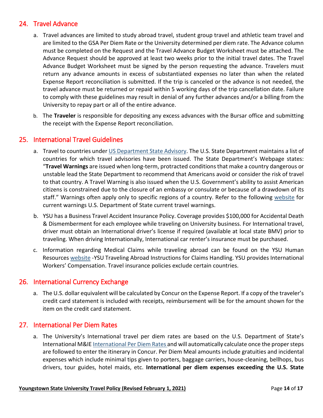## <span id="page-13-0"></span>24. Travel Advance

- a. Travel advances are limited to study abroad travel, student group travel and athletic team travel and are limited to the GSA Per Diem Rate or the University determined per diem rate. The Advance column must be completed on the Request and the Travel Advance Budget Worksheet must be attached. The Advance Request should be approved at least two weeks prior to the initial travel dates. The Travel Advance Budget Worksheet must be signed by the person requesting the advance. Travelers must return any advance amounts in excess of substantiated expenses no later than when the related Expense Report reconciliation is submitted. If the trip is canceled or the advance is not needed, the travel advance must be returned or repaid within 5 working days of the trip cancellation date. Failure to comply with these guidelines may result in denial of any further advances and/or a billing from the University to repay part or all of the entire advance.
- b. The **Traveler** is responsible for depositing any excess advances with the Bursar office and submitting the receipt with the Expense Report reconciliation.

#### <span id="page-13-1"></span>25. International Travel Guidelines

- a. Travel to countries under [US Department State Advisory.](https://travel.state.gov/content/travel/en/international-travel/International-Travel-Country-Information-Pages.html) The U.S. State Department maintains a list of countries for which travel advisories have been issued. The State Department's Webpage states: "**Travel Warnings** are issued when long-term, protracted conditions that make a country dangerous or unstable lead the State Department to recommend that Americans avoid or consider the risk of travel to that country. A Travel Warning is also issued when the U.S. Government's ability to assist American citizens is constrained due to the closure of an embassy or consulate or because of a drawdown of its staff." Warnings often apply only to specific regions of a country. Refer to the following [website](https://www.state.gov/) for current warnings U.S. Department of State current travel warnings.
- b. YSU has a Business Travel Accident Insurance Policy. Coverage provides \$100,000 for Accidental Death & Dismemberment for each employee while traveling on University business. For International travel, driver must obtain an International driver's license if required (available at local state BMV) prior to traveling. When driving Internationally, International car renter's insurance must be purchased.
- c. Information regarding Medical Claims while traveling abroad can be found on the YSU Human Resources [website](https://ysu.edu/sites/default/files/human_resources/YSU_Traveling_Abroad.pdf) -YSU Traveling Abroad Instructions for Claims Handling. YSU provides International Workers' Compensation. Travel insurance policies exclude certain countries.

#### <span id="page-13-2"></span>26. International Currency Exchange

a. The U.S. dollar equivalent will be calculated by Concur on the Expense Report. If a copy of the traveler's credit card statement is included with receipts, reimbursement will be for the amount shown for the item on the credit card statement.

#### <span id="page-13-3"></span>27. International Per Diem Rates

a. The University's International travel per diem rates are based on the U.S. Department of State's International M&IE [International Per Diem Rates](https://aoprals.state.gov/web920/per_diem.asp) and will automatically calculate once the proper steps are followed to enter the itinerary in Concur. Per Diem Meal amounts include gratuities and incidental expenses which include minimal tips given to porters, baggage carriers, house-cleaning, bellhops, bus drivers, tour guides, hotel maids, etc. **International per diem expenses exceeding the U.S. State**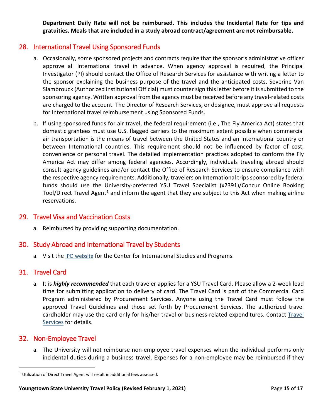**Department Daily Rate will not be reimbursed**. **This includes the Incidental Rate for tips and gratuities. Meals that are included in a study abroad contract/agreement are not reimbursable.**

## <span id="page-14-0"></span>28. International Travel Using Sponsored Funds

- a. Occasionally, some sponsored projects and contracts require that the sponsor's administrative officer approve all International travel in advance. When agency approval is required, the Principal Investigator (PI) should contact the Office of Research Services for assistance with writing a letter to the sponsor explaining the business purpose of the travel and the anticipated costs. Severine Van Slambrouck (Authorized Institutional Official) must counter sign this letter before it is submitted to the sponsoring agency. Written approval from the agency must be received before any travel-related costs are charged to the account. The Director of Research Services, or designee, must approve all requests for International travel reimbursement using Sponsored Funds.
- b. If using sponsored funds for air travel, the federal requirement (i.e., The Fly America Act) states that domestic grantees must use U.S. flagged carriers to the maximum extent possible when commercial air transportation is the means of travel between the United States and an International country or between International countries. This requirement should not be influenced by factor of cost, convenience or personal travel. The detailed implementation practices adopted to conform the Fly America Act may differ among federal agencies. Accordingly, individuals traveling abroad should consult agency guidelines and/or contact the Office of Research Services to ensure compliance with the respective agency requirements. Additionally, travelers on International trips sponsored by federal funds should use the University-preferred YSU Travel Specialist (x2391)/Concur Online Booking Tool/Direct Travel Agent<sup>[1](#page-14-5)</sup> and inform the agent that they are subject to this Act when making airline reservations.

#### <span id="page-14-1"></span>29. Travel Visa and Vaccination Costs

a. Reimbursed by providing supporting documentation.

#### <span id="page-14-2"></span>30. Study Abroad and International Travel by Students

a. Visit the [IPO website](https://ysu.edu/international-programs-office) for the Center for International Studies and Programs.

#### <span id="page-14-3"></span>31. Travel Card

a. It is *highly recommended* that each traveler applies for a YSU Travel Card. Please allow a 2-week lead time for submitting application to delivery of card. The Travel Card is part of the Commercial Card Program administered by Procurement Services. Anyone using the Travel Card must follow the approved Travel Guidelines and those set forth by Procurement Services. The authorized travel cardholder may use the card only for his/her travel or business-related expenditures. Contact [Travel](https://ysu.edu/procurement-services/travel-services)  [Services](https://ysu.edu/procurement-services/travel-services) for details.

## <span id="page-14-4"></span>32. Non-Employee Travel

a. The University will not reimburse non-employee travel expenses when the individual performs only incidental duties during a business travel. Expenses for a non-employee may be reimbursed if they

<span id="page-14-5"></span> $1$  Utilization of Direct Travel Agent will result in additional fees assessed.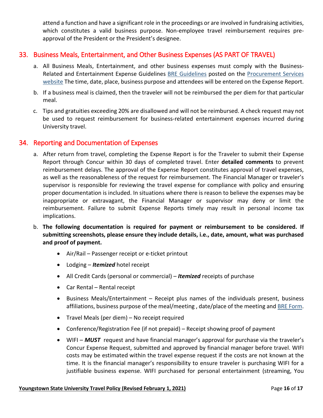attend a function and have a significant role in the proceedings or are involved in fundraising activities, which constitutes a valid business purpose. Non-employee travel reimbursement requires preapproval of the President or the President's designee.

## <span id="page-15-0"></span>33. Business Meals, Entertainment, and Other Business Expenses (AS PART OF TRAVEL)

- a. All Business Meals, Entertainment, and other business expenses must comply with the Business-Related and Entertainment Expense Guidelines [BRE Guidelines](https://ysu.edu/sites/default/files/procurement_services/BRE_Guidelines_0.pdf) posted on the [Procurement Services](http://cms.ysu.edu/administrative-offices/procurement-services/procurement-services.)  [website](http://cms.ysu.edu/administrative-offices/procurement-services/procurement-services.) The time, date, place, business purpose and attendees will be entered on the Expense Report.
- b. If a business meal is claimed, then the traveler will not be reimbursed the per diem for that particular meal.
- c. Tips and gratuities exceeding 20% are disallowed and will not be reimbursed. A check request may not be used to request reimbursement for business-related entertainment expenses incurred during University travel.

#### <span id="page-15-1"></span>34. Reporting and Documentation of Expenses

- a. After return from travel, completing the Expense Report is for the Traveler to submit their Expense Report through Concur within 30 days of completed travel. Enter **detailed comments** to prevent reimbursement delays. The approval of the Expense Report constitutes approval of travel expenses, as well as the reasonableness of the request for reimbursement. The Financial Manager or traveler's supervisor is responsible for reviewing the travel expense for compliance with policy and ensuring proper documentation is included. In situations where there is reason to believe the expenses may be inappropriate or extravagant, the Financial Manager or supervisor may deny or limit the reimbursement**.** Failure to submit Expense Reports timely may result in personal income tax implications.
- b. **The following documentation is required for payment or reimbursement to be considered. If submitting screenshots, please ensure they include details, i.e., date, amount, what was purchased and proof of payment.**
	- Air/Rail Passenger receipt or e-ticket printout
	- Lodging *Itemized* hotel receipt
	- All Credit Cards (personal or commercial) *Itemized* receipts of purchase
	- Car Rental Rental receipt
	- Business Meals/Entertainment Receipt plus names of the individuals present, business affiliations, business purpose of the meal/meeting, date/place of the meeting and [BRE Form.](https://ysu.edu/procurement-services/procurement-forms#purchasing)
	- Travel Meals (per diem) No receipt required
	- Conference/Registration Fee (if not prepaid) Receipt showing proof of payment
	- WIFI **MUST** request and have financial manager's approval for purchase via the traveler's Concur Expense Request, submitted and approved by financial manager before travel. WIFI costs may be estimated within the travel expense request if the costs are not known at the time. It is the financial manager's responsibility to ensure traveler is purchasing WIFI for a justifiable business expense. WIFI purchased for personal entertainment (streaming, You